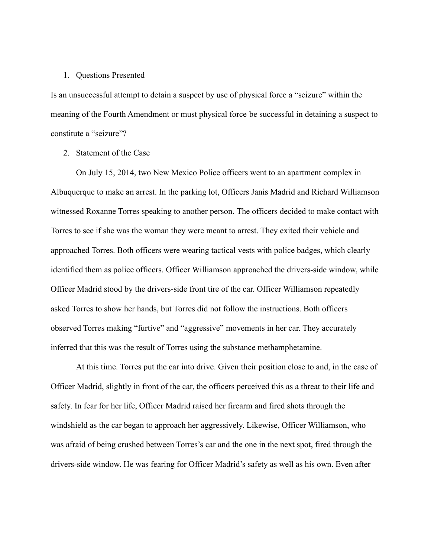## 1. Questions Presented

Is an unsuccessful attempt to detain a suspect by use of physical force a "seizure" within the meaning of the Fourth Amendment or must physical force be successful in detaining a suspect to constitute a "seizure"?

2. Statement of the Case

On July 15, 2014, two New Mexico Police officers went to an apartment complex in Albuquerque to make an arrest. In the parking lot, Officers Janis Madrid and Richard Williamson witnessed Roxanne Torres speaking to another person. The officers decided to make contact with Torres to see if she was the woman they were meant to arrest. They exited their vehicle and approached Torres. Both officers were wearing tactical vests with police badges, which clearly identified them as police officers. Officer Williamson approached the drivers-side window, while Officer Madrid stood by the drivers-side front tire of the car. Officer Williamson repeatedly asked Torres to show her hands, but Torres did not follow the instructions. Both officers observed Torres making "furtive" and "aggressive" movements in her car. They accurately inferred that this was the result of Torres using the substance methamphetamine.

At this time. Torres put the car into drive. Given their position close to and, in the case of Officer Madrid, slightly in front of the car, the officers perceived this as a threat to their life and safety. In fear for her life, Officer Madrid raised her firearm and fired shots through the windshield as the car began to approach her aggressively. Likewise, Officer Williamson, who was afraid of being crushed between Torres's car and the one in the next spot, fired through the drivers-side window. He was fearing for Officer Madrid's safety as well as his own. Even after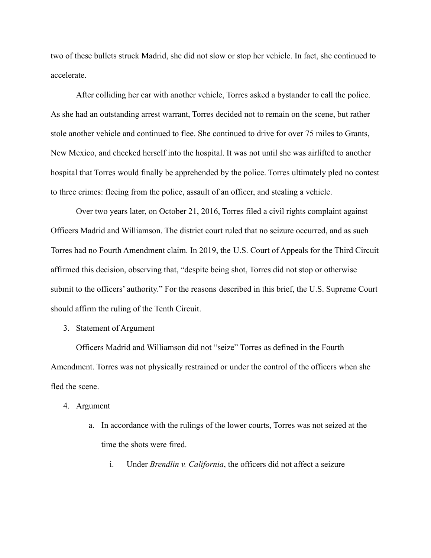two of these bullets struck Madrid, she did not slow or stop her vehicle. In fact, she continued to accelerate.

After colliding her car with another vehicle, Torres asked a bystander to call the police. As she had an outstanding arrest warrant, Torres decided not to remain on the scene, but rather stole another vehicle and continued to flee. She continued to drive for over 75 miles to Grants, New Mexico, and checked herself into the hospital. It was not until she was airlifted to another hospital that Torres would finally be apprehended by the police. Torres ultimately pled no contest to three crimes: fleeing from the police, assault of an officer, and stealing a vehicle.

Over two years later, on October 21, 2016, Torres filed a civil rights complaint against Officers Madrid and Williamson. The district court ruled that no seizure occurred, and as such Torres had no Fourth Amendment claim. In 2019, the U.S. Court of Appeals for the Third Circuit affirmed this decision, observing that, "despite being shot, Torres did not stop or otherwise submit to the officers' authority." For the reasons described in this brief, the U.S. Supreme Court should affirm the ruling of the Tenth Circuit.

## 3. Statement of Argument

Officers Madrid and Williamson did not "seize" Torres as defined in the Fourth Amendment. Torres was not physically restrained or under the control of the officers when she fled the scene.

## 4. Argument

- a. In accordance with the rulings of the lower courts, Torres was not seized at the time the shots were fired.
	- i. Under *Brendlin v. California*, the officers did not affect a seizure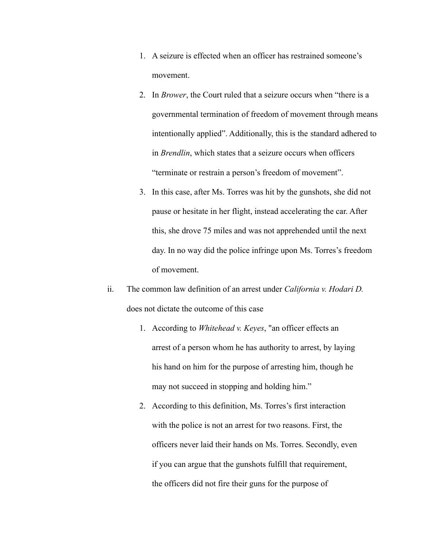- 1. A seizure is effected when an officer has restrained someone's movement.
- 2. In *Brower*, the Court ruled that a seizure occurs when "there is a governmental termination of freedom of movement through means intentionally applied". Additionally, this is the standard adhered to in *Brendlin*, which states that a seizure occurs when officers "terminate or restrain a person's freedom of movement".
- 3. In this case, after Ms. Torres was hit by the gunshots, she did not pause or hesitate in her flight, instead accelerating the car. After this, she drove 75 miles and was not apprehended until the next day. In no way did the police infringe upon Ms. Torres's freedom of movement.
- ii. The common law definition of an arrest under *California v. Hodari D.* does not dictate the outcome of this case
	- 1. According to *Whitehead v. Keyes*, "an officer effects an arrest of a person whom he has authority to arrest, by laying his hand on him for the purpose of arresting him, though he may not succeed in stopping and holding him."
	- 2. According to this definition, Ms. Torres's first interaction with the police is not an arrest for two reasons. First, the officers never laid their hands on Ms. Torres. Secondly, even if you can argue that the gunshots fulfill that requirement, the officers did not fire their guns for the purpose of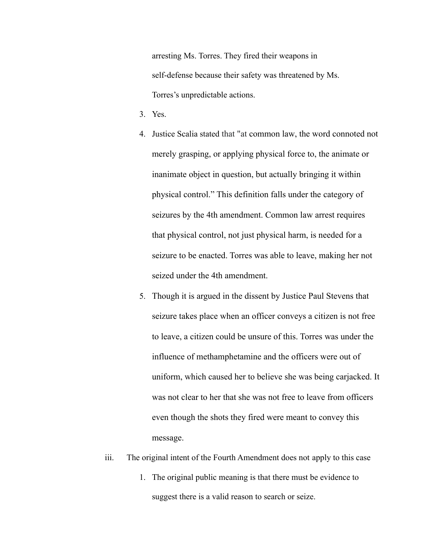arresting Ms. Torres. They fired their weapons in self-defense because their safety was threatened by Ms. Torres's unpredictable actions.

- 3. Yes.
- 4. Justice Scalia stated that "at [common](https://en.wikipedia.org/wiki/Common_law) law, the word connoted not merely grasping, or applying physical force to, the animate or inanimate object in question, but actually bringing it within physical control." This definition falls under the category of seizures by the 4th amendment. Common law arrest requires that physical control, not just physical harm, is needed for a seizure to be enacted. Torres was able to leave, making her not seized under the 4th amendment.
- 5. Though it is argued in the dissent by Justice Paul Stevens that seizure takes place when an officer conveys a citizen is not free to leave, a citizen could be unsure of this. Torres was under the influence of methamphetamine and the officers were out of uniform, which caused her to believe she was being carjacked. It was not clear to her that she was not free to leave from officers even though the shots they fired were meant to convey this message.
- iii. The original intent of the Fourth Amendment does not apply to this case
	- 1. The original public meaning is that there must be evidence to suggest there is a valid reason to search or seize.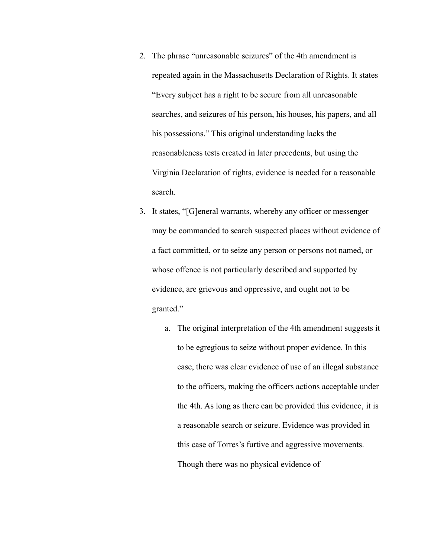- 2. The phrase "unreasonable seizures" of the 4th amendment is repeated again in the Massachusetts Declaration of Rights. It states "Every subject has a right to be secure from all unreasonable searches, and seizures of his person, his houses, his papers, and all his possessions." This original understanding lacks the reasonableness tests created in later precedents, but using the Virginia Declaration of rights, evidence is needed for a reasonable search.
- 3. It states, "[G]eneral warrants, whereby any officer or messenger may be commanded to search suspected places without evidence of a fact committed, or to seize any person or persons not named, or whose offence is not particularly described and supported by evidence, are grievous and oppressive, and ought not to be granted."
	- a. The original interpretation of the 4th amendment suggests it to be egregious to seize without proper evidence. In this case, there was clear evidence of use of an illegal substance to the officers, making the officers actions acceptable under the 4th. As long as there can be provided this evidence, it is a reasonable search or seizure. Evidence was provided in this case of Torres's furtive and aggressive movements. Though there was no physical evidence of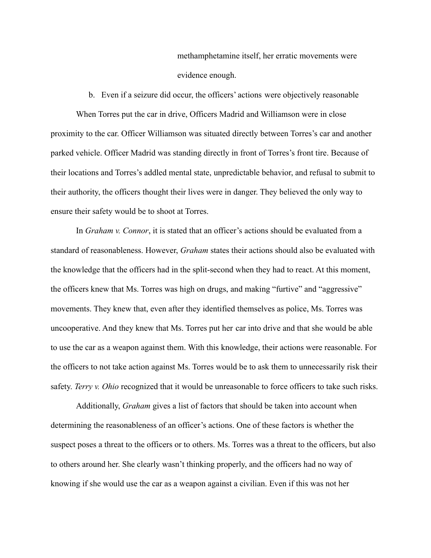methamphetamine itself, her erratic movements were evidence enough.

b. Even if a seizure did occur, the officers' actions were objectively reasonable

When Torres put the car in drive, Officers Madrid and Williamson were in close proximity to the car. Officer Williamson was situated directly between Torres's car and another parked vehicle. Officer Madrid was standing directly in front of Torres's front tire. Because of their locations and Torres's addled mental state, unpredictable behavior, and refusal to submit to their authority, the officers thought their lives were in danger. They believed the only way to ensure their safety would be to shoot at Torres.

In *Graham v. Connor*, it is stated that an officer's actions should be evaluated from a standard of reasonableness. However, *Graham* states their actions should also be evaluated with the knowledge that the officers had in the split-second when they had to react. At this moment, the officers knew that Ms. Torres was high on drugs, and making "furtive" and "aggressive" movements. They knew that, even after they identified themselves as police, Ms. Torres was uncooperative. And they knew that Ms. Torres put her car into drive and that she would be able to use the car as a weapon against them. With this knowledge, their actions were reasonable. For the officers to not take action against Ms. Torres would be to ask them to unnecessarily risk their safety. *Terry v. Ohio* recognized that it would be unreasonable to force officers to take such risks.

Additionally, *Graham* gives a list of factors that should be taken into account when determining the reasonableness of an officer's actions. One of these factors is whether the suspect poses a threat to the officers or to others. Ms. Torres was a threat to the officers, but also to others around her. She clearly wasn't thinking properly, and the officers had no way of knowing if she would use the car as a weapon against a civilian. Even if this was not her